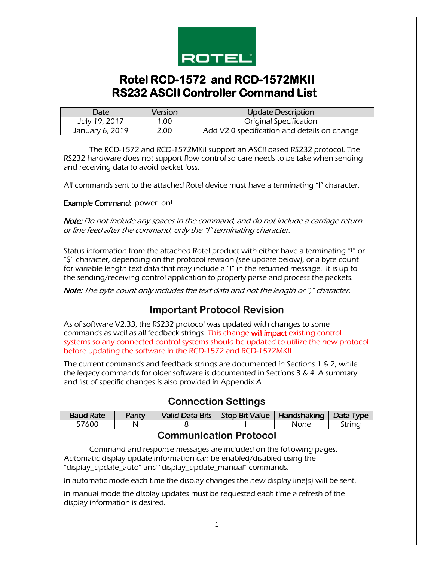

# **Rotel RCD-1572 and RCD-1572MKII RS232 ASCII Controller Command List**

| Date            | Version | Update Description                           |
|-----------------|---------|----------------------------------------------|
| July 19, 2017   | 1.00    | <b>Original Specification</b>                |
| January 6, 2019 | 2.00    | Add V2.0 specification and details on change |

The RCD-1572 and RCD-1572MKII support an ASCII based RS232 protocol. The RS232 hardware does not support flow control so care needs to be take when sending and receiving data to avoid packet loss.

All commands sent to the attached Rotel device must have a terminating "!" character.

Example Command: power\_on!

Note: Do not include any spaces in the command, and do not include a carriage return or line feed after the command, only the "!" terminating character.

Status information from the attached Rotel product with either have a terminating "!" or "\$" character, depending on the protocol revision (see update below), or a byte count for variable length text data that may include a "!" in the returned message. It is up to the sending/receiving control application to properly parse and process the packets.

Note: The byte count only includes the text data and not the length or "," character.

#### **Important Protocol Revision**

As of software V2.33, the RS232 protocol was updated with changes to some commands as well as all feedback strings. This change will impact existing control systems so any connected control systems should be updated to utilize the new protocol before updating the software in the RCD-1572 and RCD-1572MKII.

The current commands and feedback strings are documented in Sections 1 & 2, while the legacy commands for older software is documented in Sections 3 & 4. A summary and list of specific changes is also provided in Appendix A.

#### **Connection Settings**

| <b>Baud Rate</b> | Parity | Valid Data Bits | Stop Bit Value   Handshaking |      | Data Type |
|------------------|--------|-----------------|------------------------------|------|-----------|
| 57600            |        |                 |                              | None | Strinc    |

#### **Communication Protocol**

Command and response messages are included on the following pages. Automatic display update information can be enabled/disabled using the "display\_update\_auto" and "display\_update\_manual" commands.

In automatic mode each time the display changes the new display line(s) will be sent.

In manual mode the display updates must be requested each time a refresh of the display information is desired.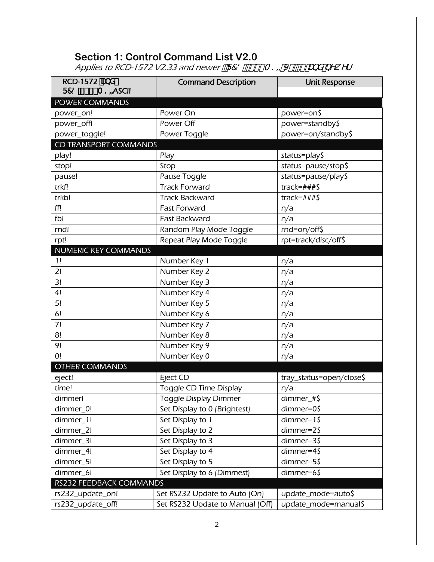## **Section 1: Control Command List V2.0**

Applies to RCD-1572 V2.33 and newer  $ZF78!/$  +&A  $? = J'$  "\$\$ UbX bYk Yf

| RCD-1572 UbX                 | <b>Command Description</b>       | <b>Unit Response</b>     |
|------------------------------|----------------------------------|--------------------------|
| F78!% +&A?=ASCII             |                                  |                          |
| <b>POWER COMMANDS</b>        |                                  |                          |
| power_on!                    | Power On                         | power=on\$               |
| power_off!                   | Power Off                        | power=standby\$          |
| power_toggle!                | Power Toggle                     | power=on/standby\$       |
| <b>CD TRANSPORT COMMANDS</b> |                                  |                          |
| play!                        | Play                             | status=play\$            |
| stop!                        | Stop                             | status=pause/stop\$      |
| pause!                       | Pause Toggle                     | status=pause/play\$      |
| trkf!                        | <b>Track Forward</b>             | $track = # ##$ \$        |
| trkb!                        | <b>Track Backward</b>            | $track = # ##$ \$        |
| ff!                          | <b>Fast Forward</b>              | n/a                      |
| fb!                          | Fast Backward                    | n/a                      |
| rnd!                         | Random Play Mode Toggle          | rnd=on/off\$             |
| rpt!                         | Repeat Play Mode Toggle          | rpt=track/disc/off\$     |
| <b>NUMERIC KEY COMMANDS</b>  |                                  |                          |
| 1!                           | Number Key 1                     | n/a                      |
| 2!                           | Number Key 2                     | n/a                      |
| 3!                           | Number Key 3                     | n/a                      |
| 4!                           | Number Key 4                     | n/a                      |
| 5!                           | Number Key 5                     | n/a                      |
| 6!                           | Number Key 6                     | n/a                      |
| 7!                           | Number Key 7                     | n/a                      |
| 8!                           | Number Key 8                     | n/a                      |
| 9!                           | Number Key 9                     | n/a                      |
| 0!                           | Number Key 0                     | n/a                      |
| <b>OTHER COMMANDS</b>        |                                  |                          |
| eject!                       | Eject CD                         | tray_status=open/close\$ |
| time!                        | Toggle CD Time Display           | n/a                      |
| dimmer!                      | <b>Toggle Display Dimmer</b>     | dimmer_# $\frac{1}{2}$   |
| dimmer_0!                    | Set Display to 0 (Brightest)     | dimmer=0\$               |
| dimmer_1!                    | Set Display to 1                 | $dimmer=1$ \$            |
| dimmer_2!                    | Set Display to 2                 | $dimmer=25$              |
| dimmer_3!                    | Set Display to 3                 | dimmer=3\$               |
| dimmer 4!                    | Set Display to 4                 | $dimmer = 45$            |
| dimmer_5!                    | Set Display to 5                 | dimmer=5\$               |
| dimmer_6!                    | Set Display to 6 (Dimmest)       | dimmer=6\$               |
| RS232 FEEDBACK COMMANDS      |                                  |                          |
| rs232_update_on!             | Set RS232 Update to Auto (On)    | update_mode=auto\$       |
| rs232_update_off!            | Set RS232 Update to Manual (Off) | update_mode=manual\$     |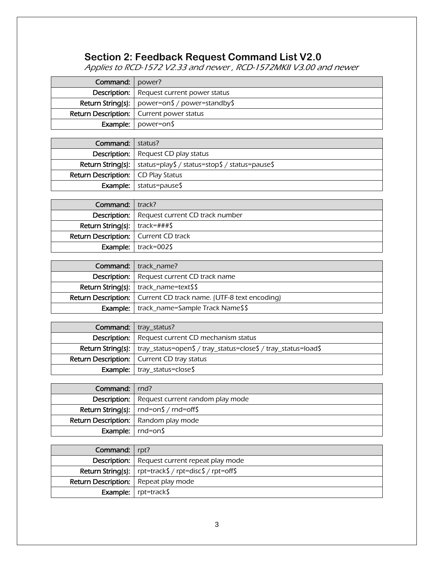# **Section 2: Feedback Request Command List V2.0**

Applies to RCD-1572 V2.33 and newer , RCD-1572MKII V3.00 and newer

| <b>Command:</b>   power? |                                                               |
|--------------------------|---------------------------------------------------------------|
|                          | <b>Description:</b>   Request current power status            |
|                          | <b>Return String(s):</b> $\vert$ power=on\$ / power=standby\$ |
|                          | <b>Return Description:</b>   Current power status             |
|                          | <b>Example:</b> $\vert$ power=on\$                            |

| <b>Command:</b>   status?                   |                                                                                 |
|---------------------------------------------|---------------------------------------------------------------------------------|
|                                             | <b>Description:</b>   Request CD play status                                    |
|                                             | <b>Return String(s):</b> $\vert$ status=play\$ / status=stop\$ / status=pause\$ |
| <b>Return Description:</b>   CD Play Status |                                                                                 |
|                                             | <b>Example:</b> $\vert$ status=pause\$                                          |

| <b>Command:</b> I track?                      |                                                       |
|-----------------------------------------------|-------------------------------------------------------|
|                                               | <b>Description:</b>   Request current CD track number |
| <b>Return String(s):</b> $\vert$ track=###\$  |                                                       |
| <b>Return Description:</b>   Current CD track |                                                       |
|                                               | <b>Example:</b> $\vert$ track=002\$                   |

| <b>Command:</b>   track name?                                             |
|---------------------------------------------------------------------------|
| <b>Description:</b>   Request current CD track name                       |
| <b>Return String(s):</b> $\vert$ track_name=text\$\$                      |
| <b>Return Description:</b>   Current CD track name. (UTF-8 text encoding) |
| <b>Example:</b>   track_name=Sample Track Name\$\$                        |

| Command:   tray_status?                                                                  |
|------------------------------------------------------------------------------------------|
| <b>Description:</b> Request current CD mechanism status                                  |
| <b>Return String(s):</b>   tray_status=open\$ / tray_status=close\$ / tray_status=load\$ |
| <b>Return Description:</b>   Current CD tray status                                      |
| <b>Example:</b> $\vert$ tray_status=close\$                                              |

| Command: rnd?                |                                                        |
|------------------------------|--------------------------------------------------------|
|                              | <b>Description:</b>   Request current random play mode |
|                              | Return String(s): $ $ rnd=on\$ / rnd=off\$             |
|                              | <b>Return Description:</b>   Random play mode          |
| <b>Example:</b> $ $ rnd=on\$ |                                                        |

| Command:   rpt?                             |                                                                   |
|---------------------------------------------|-------------------------------------------------------------------|
|                                             | <b>Description:</b>   Request current repeat play mode            |
|                                             | <b>Return String(s):</b> $ $ rpt=track\$ / rpt=disc\$ / rpt=off\$ |
| <b>Return Description:</b> Repeat play mode |                                                                   |
|                                             | <b>Example:</b> $\vert$ rpt=track\$                               |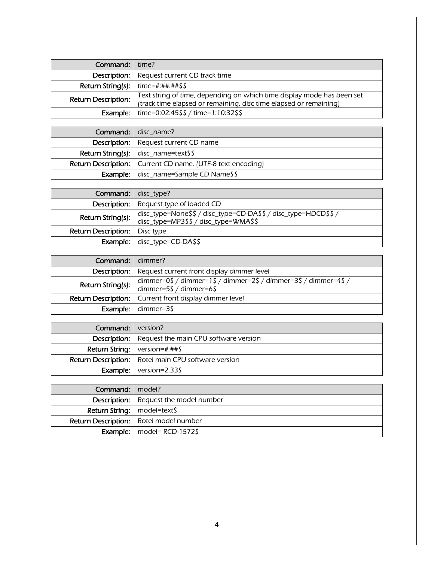| <b>Command:</b> $\vert$ time?          |                                                                                                                                             |
|----------------------------------------|---------------------------------------------------------------------------------------------------------------------------------------------|
|                                        | <b>Description:</b> Request current CD track time                                                                                           |
| Return String(s): $ $ time=#:##:##\$\$ |                                                                                                                                             |
| <b>Return Description:</b>             | Text string of time, depending on which time display mode has been set<br>(track time elapsed or remaining, disc time elapsed or remaining) |
| Example:                               | time=0:02:45\$\$ / time=1:10:32\$\$                                                                                                         |

| <b>Command:</b> disc name?                                          |
|---------------------------------------------------------------------|
| <b>Description:</b>   Request current CD name                       |
| <b>Return String(s):</b> $ $ disc_name=text\$\$                     |
| <b>Return Description:</b>   Current CD name. (UTF-8 text encoding) |
| Example:   disc_name=Sample CD Name\$\$                             |

| <b>Command:</b> disc_type?             |                                                                                                          |
|----------------------------------------|----------------------------------------------------------------------------------------------------------|
|                                        | <b>Description:</b>   Request type of loaded CD                                                          |
| Return String(s):                      | disc_type=None\$\$ / disc_type=CD-DA\$\$ / disc_type=HDCD\$\$ /<br>disc_type=MP3\$\$ / disc_type=WMA\$\$ |
| <b>Return Description:</b>   Disc type |                                                                                                          |
|                                        | <b>Example:</b> $disc_type = CD-DASS$                                                                    |

| <b>Command:</b> dimmer? |                                                                                             |
|-------------------------|---------------------------------------------------------------------------------------------|
|                         | <b>Description:</b>   Request current front display dimmer level                            |
| Return String(s):       | dimmer=0\$ / dimmer=1\$ / dimmer=2\$ / dimmer=3\$ / dimmer=4\$ /<br>dimmer=5\$ / dimmer=6\$ |
|                         | <b>Return Description:</b>   Current front display dimmer level                             |
|                         | <b>Example:</b> $\mid$ dimmer=3\$                                                           |

| <b>Command:</b> version? |                                                              |
|--------------------------|--------------------------------------------------------------|
|                          | <b>Description:</b> Request the main CPU software version    |
|                          | <b>Return String:</b> $\vert$ version=#.##\$                 |
|                          | <b>Return Description:</b>   Rotel main CPU software version |
|                          | <b>Example:</b> $\sqrt{\frac{325}{2}}$ version=2.33\$        |

| Command: model?               |                                                 |
|-------------------------------|-------------------------------------------------|
|                               | <b>Description:</b>   Request the model number  |
| Return String:   model=text\$ |                                                 |
|                               | <b>Return Description:</b>   Rotel model number |
|                               | <b>Example:</b>   model= $RCD-1572$ \$          |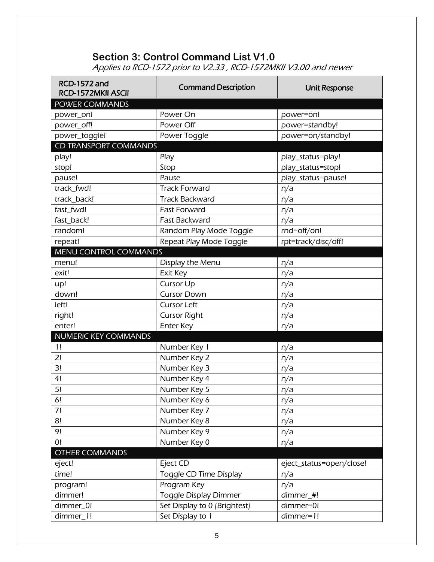## **Section 3: Control Command List V1.0**

Applies to RCD-1572 prior to V2.33 , RCD-1572MKII V3.00 and newer

| <b>RCD-1572 and</b><br>RCD-1572MKII ASCII | <b>Command Description</b>   | <b>Unit Response</b>     |
|-------------------------------------------|------------------------------|--------------------------|
| <b>POWER COMMANDS</b>                     |                              |                          |
| power_on!                                 | Power On                     | power=on!                |
| power_off!                                | Power Off                    | power=standby!           |
| power_toggle!                             | Power Toggle                 | power=on/standby!        |
| <b>CD TRANSPORT COMMANDS</b>              |                              |                          |
| play!                                     | Play                         | play_status=play!        |
| stop!                                     | Stop                         | play_status=stop!        |
| pause!                                    | Pause                        | play_status=pause!       |
| track_fwd!                                | <b>Track Forward</b>         | n/a                      |
| track_back!                               | <b>Track Backward</b>        | n/a                      |
| fast_fwd!                                 | <b>Fast Forward</b>          | n/a                      |
| fast_back!                                | Fast Backward                | n/a                      |
| random!                                   | Random Play Mode Toggle      | rnd=off/on!              |
| repeat!                                   | Repeat Play Mode Toggle      | rpt=track/disc/off!      |
| <b>MENU CONTROL COMMANDS</b>              |                              |                          |
| menu!                                     | Display the Menu             | n/a                      |
| exit!                                     | Exit Key                     | n/a                      |
| up!                                       | <b>Cursor Up</b>             | n/a                      |
| down!                                     | <b>Cursor Down</b>           | n/a                      |
| left!                                     | <b>Cursor Left</b>           | n/a                      |
| right!                                    | <b>Cursor Right</b>          | n/a                      |
| enter!                                    | <b>Enter Key</b>             | n/a                      |
| NUMERIC KEY COMMANDS                      |                              |                          |
| 1!                                        | Number Key 1                 | n/a                      |
| 2!                                        | Number Key 2                 | n/a                      |
| 3!                                        | Number Key 3                 | n/a                      |
| 4!                                        | Number Key 4                 | n/a                      |
| 5!                                        | Number Key 5                 | n/a                      |
| 6!                                        | Number Key 6                 | n/a                      |
| 7!                                        | Number Key 7                 | n/a                      |
| 8!                                        | Number Key 8                 | n/a                      |
| 9!                                        | Number Key 9                 | n/a                      |
| 0!                                        | Number Key 0                 | n/a                      |
| <b>OTHER COMMANDS</b>                     |                              |                          |
| eject!                                    | Eject CD                     | eject_status=open/close! |
| time!                                     | Toggle CD Time Display       | n/a                      |
| program!                                  | Program Key                  | n/a                      |
| dimmer!                                   | Toggle Display Dimmer        | dimmer_#!                |
| dimmer_0!                                 | Set Display to 0 (Brightest) | dimmer=0!                |
| dimmer_1!                                 | Set Display to 1             | dimmer=1!                |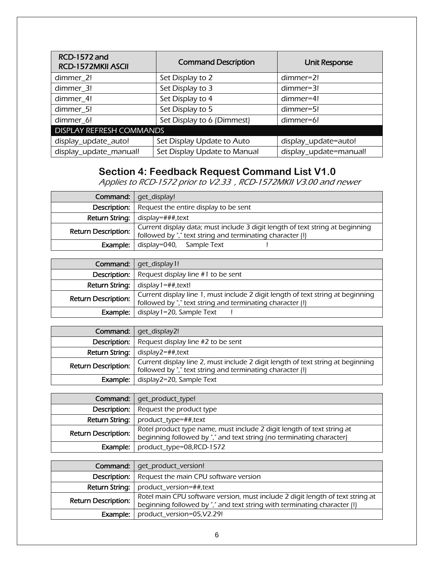| <b>RCD-1572 and</b><br>RCD-1572MKII ASCII | <b>Command Description</b>   | <b>Unit Response</b>   |
|-------------------------------------------|------------------------------|------------------------|
| dimmer 2!                                 | Set Display to 2             | $dimmer=2!$            |
| dimmer_3!                                 | Set Display to 3             | dimmer=3!              |
| dimmer 4!                                 | Set Display to 4             | dimmer=4!              |
| dimmer 5!                                 | Set Display to 5             | dimmer=5!              |
| dimmer 6!                                 | Set Display to 6 (Dimmest)   | dimmer=6!              |
| <b>DISPLAY REFRESH COMMANDS</b>           |                              |                        |
| display_update_auto!                      | Set Display Update to Auto   | display_update=auto!   |
| display_update_manual!                    | Set Display Update to Manual | display_update=manual! |

### **Section 4: Feedback Request Command List V1.0**

Applies to RCD-1572 prior to V2.33 , RCD-1572MKII V3.00 and newer

|                            | <b>Command:</b>   get_display!                                                                                                             |
|----------------------------|--------------------------------------------------------------------------------------------------------------------------------------------|
| Description:               | Request the entire display to be sent                                                                                                      |
|                            | <b>Return String:</b> $\vert$ display=###, text                                                                                            |
| <b>Return Description:</b> | Current display data; must include 3 digit length of text string at beginning<br>followed by "," text string and terminating character (!) |
| Example:                   | display=040, Sample Text                                                                                                                   |

|                            | Command:   get_display1!                                                                                                                     |
|----------------------------|----------------------------------------------------------------------------------------------------------------------------------------------|
|                            | <b>Description:</b> Request display line $#1$ to be sent                                                                                     |
|                            | <b>Return String:</b> $\vert$ display $1 = ##$ , text!                                                                                       |
| <b>Return Description:</b> | Current display line 1, must include 2 digit length of text string at beginning<br>followed by "," text string and terminating character (!) |
| Example:                   | display 1=20, Sample Text                                                                                                                    |

|                            | Command:   get_display2!                                                                                                                     |
|----------------------------|----------------------------------------------------------------------------------------------------------------------------------------------|
|                            | <b>Description:</b> Request display line $#2$ to be sent                                                                                     |
|                            | <b>Return String:</b> $\vert$ display2=##, text                                                                                              |
| <b>Return Description:</b> | Current display line 2, must include 2 digit length of text string at beginning<br>followed by "," text string and terminating character (!) |
| Example: I                 | display2=20, Sample Text                                                                                                                     |

|                            | <b>Command:</b>   get_product_type!                                                                                                            |
|----------------------------|------------------------------------------------------------------------------------------------------------------------------------------------|
|                            | <b>Description:</b> Request the product type                                                                                                   |
| Return String:             | product_type=##,text                                                                                                                           |
| <b>Return Description:</b> | Rotel product type name, must include 2 digit length of text string at<br>beginning followed by "," and text string (no terminating character) |
| Example:                   | product_type=08,RCD-1572                                                                                                                       |

|                            | <b>Command:</b>   get_product_version!                                                                                                                     |
|----------------------------|------------------------------------------------------------------------------------------------------------------------------------------------------------|
| Description:               | Request the main CPU software version                                                                                                                      |
|                            | <b>Return String:</b> $ $ product_version=##, text                                                                                                         |
| <b>Return Description:</b> | Rotel main CPU software version, must include 2 digit length of text string at<br>beginning followed by "," and text string with terminating character (!) |
| Example:                   | product_version=05,V2.29!                                                                                                                                  |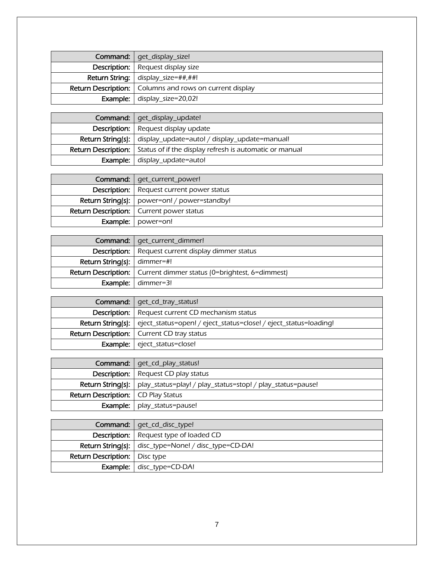| Command:   get_display_size!                                     |
|------------------------------------------------------------------|
| <b>Description:</b> Request display size                         |
| <b>Return String:</b> display_size=##,##!                        |
| <b>Return Description:</b>   Columns and rows on current display |
| <b>Example:</b> $\vert$ display_size=20,02!                      |

| Command:   qet_display_update!                                                       |  |  |
|--------------------------------------------------------------------------------------|--|--|
| <b>Description:</b> Request display update                                           |  |  |
| <b>Return String(s):</b> display_update=auto! / display_update=manual!               |  |  |
| <b>Return Description:</b>   Status of if the display refresh is automatic or manual |  |  |
| <b>Example:</b> display_update=auto!                                                 |  |  |

| <b>Command:</b>   get_current_power!                        |  |  |
|-------------------------------------------------------------|--|--|
| <b>Description:</b>   Request current power status          |  |  |
| <b>Return String(s):</b> $\vert$ power=on! / power=standby! |  |  |
| <b>Return Description:</b>   Current power status           |  |  |
| <b>Example:</b>   power=on!                                 |  |  |

|                                        | Command:   get_current_dimmer!                                              |  |  |
|----------------------------------------|-----------------------------------------------------------------------------|--|--|
|                                        | <b>Description:</b> Request current display dimmer status                   |  |  |
| <b>Return String(s):</b> $ $ dimmer=#! |                                                                             |  |  |
|                                        | <b>Return Description:</b>   Current dimmer status (0=brightest, 6=dimmest) |  |  |
|                                        | <b>Example:</b> $\mid$ dimmer=3!                                            |  |  |

| Command:   get_cd_tray_status!                                                              |  |  |
|---------------------------------------------------------------------------------------------|--|--|
| <b>Description:</b> Request current CD mechanism status                                     |  |  |
| <b>Return String(s):</b>   eject_status=open! / eject_status=close! / eject_status=loading! |  |  |
| <b>Return Description:</b>   Current CD tray status                                         |  |  |
| <b>Example:</b> eject_status=close!                                                         |  |  |

|                                             | <b>Command:</b>   get_cd_play_status!                                          |  |  |
|---------------------------------------------|--------------------------------------------------------------------------------|--|--|
|                                             | <b>Description:</b>   Request CD play status                                   |  |  |
|                                             | Return String(s):   play_status=play! / play_status=stop! / play_status=pause! |  |  |
| <b>Return Description:</b>   CD Play Status |                                                                                |  |  |
|                                             | <b>Example:</b>   play_status=pause!                                           |  |  |

|                                        | Command:   get_cd_disc_type!                                |  |  |
|----------------------------------------|-------------------------------------------------------------|--|--|
|                                        | <b>Description:</b> Request type of loaded CD               |  |  |
|                                        | <b>Return String(s):</b> disc_type=None! / disc_type=CD-DA! |  |  |
| <b>Return Description:</b>   Disc type |                                                             |  |  |
|                                        | <b>Example:</b> $\int$ disc_type=CD-DA!                     |  |  |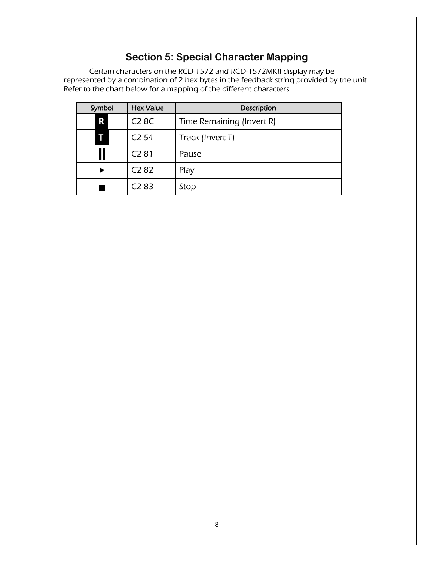## **Section 5: Special Character Mapping**

Certain characters on the RCD-1572 and RCD-1572MKII display may be represented by a combination of 2 hex bytes in the feedback string provided by the unit. Refer to the chart below for a mapping of the different characters.

| Symbol | <b>Hex Value</b>  | Description               |
|--------|-------------------|---------------------------|
| R      | <b>C28C</b>       | Time Remaining (Invert R) |
| T      | C <sub>2</sub> 54 | Track (Invert T)          |
|        | C <sub>2</sub> 81 | Pause                     |
|        | C <sub>2</sub> 82 | Play                      |
|        | C <sub>2</sub> 83 | Stop                      |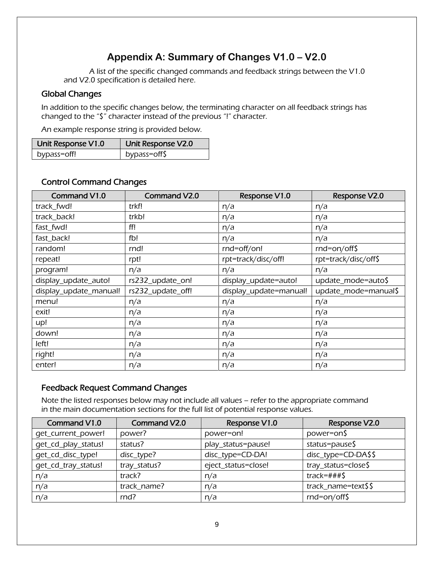# **Appendix A: Summary of Changes V1.0 – V2.0**

A list of the specific changed commands and feedback strings between the V1.0 and V2.0 specification is detailed here.

#### Global Changes

In addition to the specific changes below, the terminating character on all feedback strings has changed to the "\$" character instead of the previous "!" character.

An example response string is provided below.

| Unit Response V1.0 | Unit Response V2.0 |
|--------------------|--------------------|
| bypass=off!        | bypass=off\$       |

#### Control Command Changes

| Command V1.0           | Command V2.0      | Response V1.0          | Response V2.0        |
|------------------------|-------------------|------------------------|----------------------|
| track_fwd!             | trkf!             | n/a                    | n/a                  |
| track_back!            | trkb!             | n/a                    | n/a                  |
| fast_fwd!              | ff!               | n/a                    | n/a                  |
| fast_back!             | fb!               | n/a                    | n/a                  |
| random!                | rnd!              | rnd=off/on!            | $rnd=on/off$ \$      |
| repeat!                | rpt!              | rpt=track/disc/off!    | rpt=track/disc/off\$ |
| program!               | n/a               | n/a                    | n/a                  |
| display_update_auto!   | rs232_update_on!  | display_update=auto!   | update_mode=auto\$   |
| display_update_manual! | rs232_update_off! | display_update=manual! | update_mode=manual\$ |
| menu!                  | n/a               | n/a                    | n/a                  |
| exit!                  | n/a               | n/a                    | n/a                  |
| up!                    | n/a               | n/a                    | n/a                  |
| down!                  | n/a               | n/a                    | n/a                  |
| left!                  | n/a               | n/a                    | n/a                  |
| right!                 | n/a               | n/a                    | n/a                  |
| enter!                 | n/a               | n/a                    | n/a                  |

#### Feedback Request Command Changes

Note the listed responses below may not include all values – refer to the appropriate command in the main documentation sections for the full list of potential response values.

| Command V1.0        | <b>Command V2.0</b> | Response V1.0       | Response V2.0       |
|---------------------|---------------------|---------------------|---------------------|
| get_current_power!  | power?              | power=on!           | power=on\$          |
| get_cd_play_status! | status?             | play_status=pause!  | $status = pause$ \$ |
| qet_cd_disc_type!   | disc_type?          | disc_type=CD-DA!    | disc_type=CD-DA\$\$ |
| get_cd_tray_status! | tray_status?        | eject_status=close! | tray_status=close\$ |
| n/a                 | track?              | n/a                 | track=###\$         |
| n/a                 | track name?         | n/a                 | track_name=text\$\$ |
| n/a                 | rnd?                | n/a                 | rnd=on/off\$        |